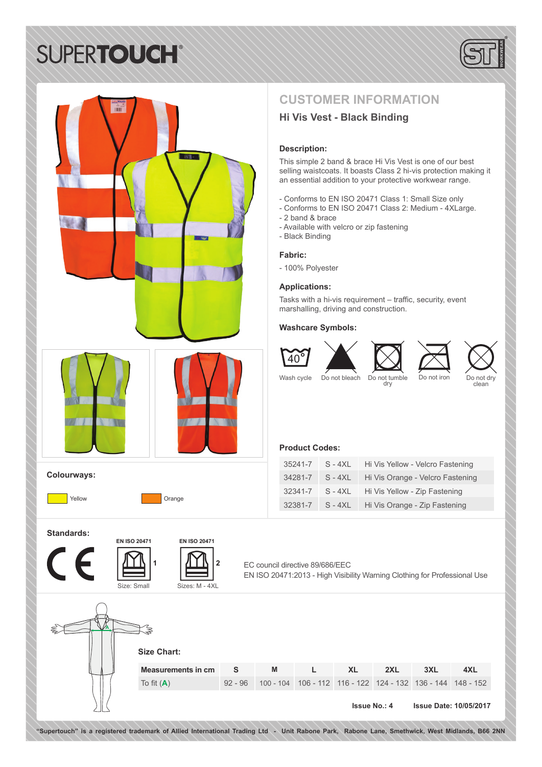# **SUPERTOUCH®**



## **CUSTOMER INFORMATION**

### **Hi Vis Vest - Black Binding**

#### **Description:**

This simple 2 band & brace Hi Vis Vest is one of our best selling waistcoats. It boasts Class 2 hi-vis protection making it an essential addition to your protective workwear range.

- Conforms to EN ISO 20471 Class 1: Small Size only
- Conforms to EN ISO 20471 Class 2: Medium 4XLarge.
- 2 band & brace
- Available with velcro or zip fastening
- Black Binding
- **Fabric:**
- 100% Polyester

#### **Applications:**

Tasks with a hi-vis requirement – traffic, security, event marshalling, driving and construction.

#### **Washcare Symbols:**





Wash cycle Do not bleach Do not tumble Do not iron Do not dry<br>clean clean

### **Product Codes:**

| 35241-7 | $S - 4XI$ | Hi Vis Yellow - Velcro Fastening |
|---------|-----------|----------------------------------|
| 34281-7 | $S - 4XL$ | Hi Vis Orange - Velcro Fastening |
| 32341-7 | $S - 4XL$ | Hi Vis Yellow - Zip Fastening    |
| 32381-7 | $S - 4XL$ | Hi Vis Orange - Zip Fastening    |

**Standards:**

**Colourways:**





Yellow **Orange** 

**1**



EC council directive 89/686/EEC EN ISO 20471:2013 - High Visibility Warning Clothing for Professional Use



**"Supertouch" is a registered trademark of Allied International Trading Ltd - Unit Rabone Park, Rabone Lane, Smethwick, West Midlands, B66 2NN**